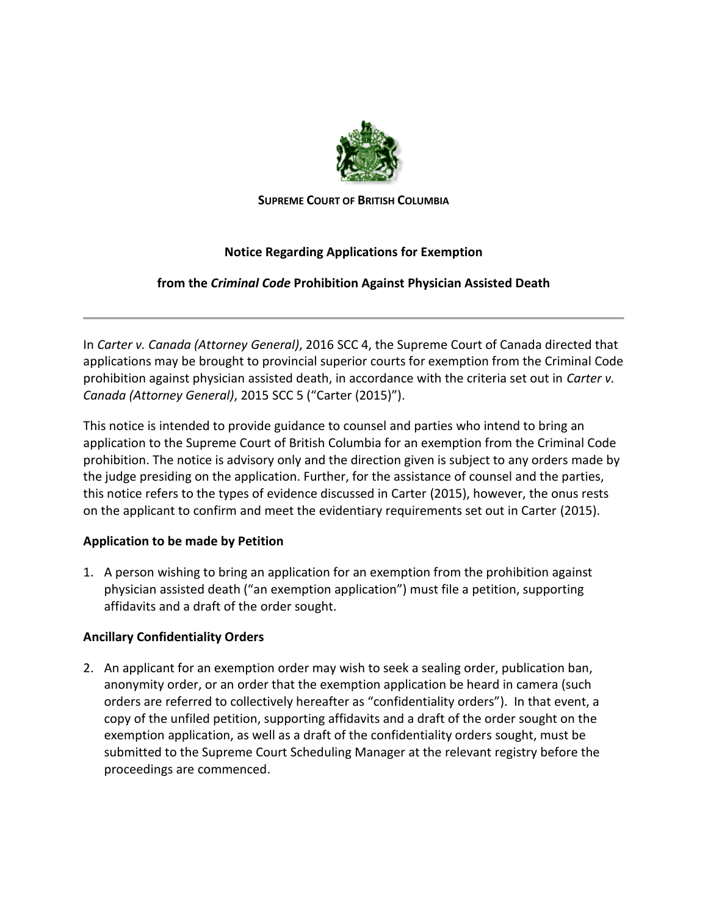

**SUPREME COURT OF BRITISH COLUMBIA**

# **Notice Regarding Applications for Exemption**

# **from the** *Criminal Code* **Prohibition Against Physician Assisted Death**

In *Carter v. Canada (Attorney General)*, 2016 SCC 4, the Supreme Court of Canada directed that applications may be brought to provincial superior courts for exemption from the Criminal Code prohibition against physician assisted death, in accordance with the criteria set out in *Carter v. Canada (Attorney General)*, 2015 SCC 5 ("Carter (2015)").

This notice is intended to provide guidance to counsel and parties who intend to bring an application to the Supreme Court of British Columbia for an exemption from the Criminal Code prohibition. The notice is advisory only and the direction given is subject to any orders made by the judge presiding on the application. Further, for the assistance of counsel and the parties, this notice refers to the types of evidence discussed in Carter (2015), however, the onus rests on the applicant to confirm and meet the evidentiary requirements set out in Carter (2015).

# **Application to be made by Petition**

1. A person wishing to bring an application for an exemption from the prohibition against physician assisted death ("an exemption application") must file a petition, supporting affidavits and a draft of the order sought.

# **Ancillary Confidentiality Orders**

2. An applicant for an exemption order may wish to seek a sealing order, publication ban, anonymity order, or an order that the exemption application be heard in camera (such orders are referred to collectively hereafter as "confidentiality orders"). In that event, a copy of the unfiled petition, supporting affidavits and a draft of the order sought on the exemption application, as well as a draft of the confidentiality orders sought, must be submitted to the Supreme Court Scheduling Manager at the relevant registry before the proceedings are commenced.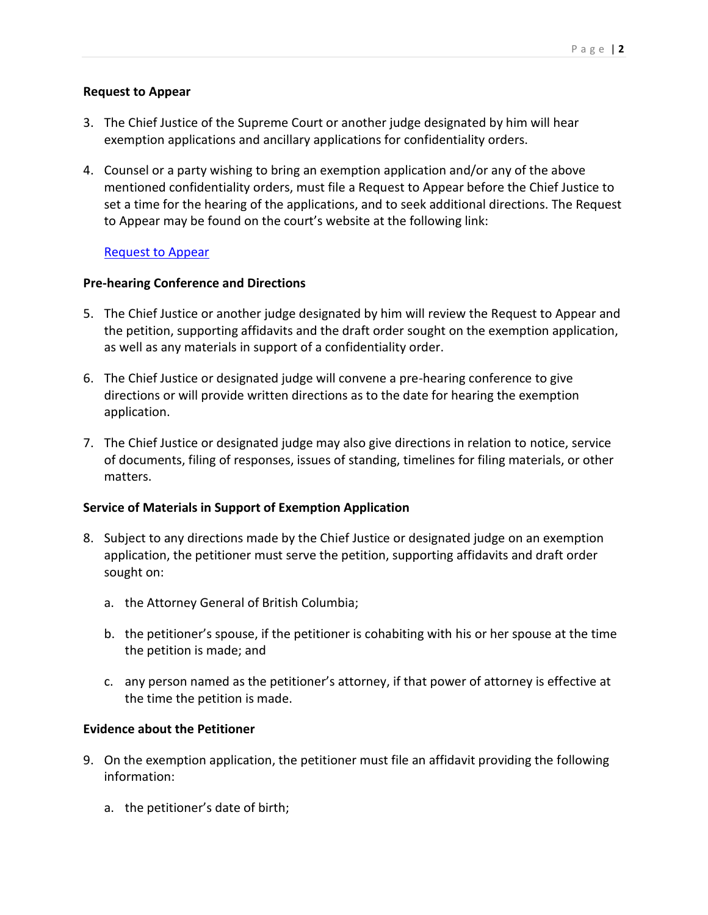### **Request to Appear**

- 3. The Chief Justice of the Supreme Court or another judge designated by him will hear exemption applications and ancillary applications for confidentiality orders.
- 4. Counsel or a party wishing to bring an exemption application and/or any of the above mentioned confidentiality orders, must file a Request to Appear before the Chief Justice to set a time for the hearing of the applications, and to seek additional directions. The Request to Appear may be found on the court's website at the following link:

### [Request to Appear](http://www.courts.gov.bc.ca/supreme_court/scheduling/Request_to_Appear_Before_a_Specific_Judge_or_Master/)

### **Pre-hearing Conference and Directions**

- 5. The Chief Justice or another judge designated by him will review the Request to Appear and the petition, supporting affidavits and the draft order sought on the exemption application, as well as any materials in support of a confidentiality order.
- 6. The Chief Justice or designated judge will convene a pre-hearing conference to give directions or will provide written directions as to the date for hearing the exemption application.
- 7. The Chief Justice or designated judge may also give directions in relation to notice, service of documents, filing of responses, issues of standing, timelines for filing materials, or other matters.

#### **Service of Materials in Support of Exemption Application**

- 8. Subject to any directions made by the Chief Justice or designated judge on an exemption application, the petitioner must serve the petition, supporting affidavits and draft order sought on:
	- a. the Attorney General of British Columbia;
	- b. the petitioner's spouse, if the petitioner is cohabiting with his or her spouse at the time the petition is made; and
	- c. any person named as the petitioner's attorney, if that power of attorney is effective at the time the petition is made.

#### **Evidence about the Petitioner**

- 9. On the exemption application, the petitioner must file an affidavit providing the following information:
	- a. the petitioner's date of birth;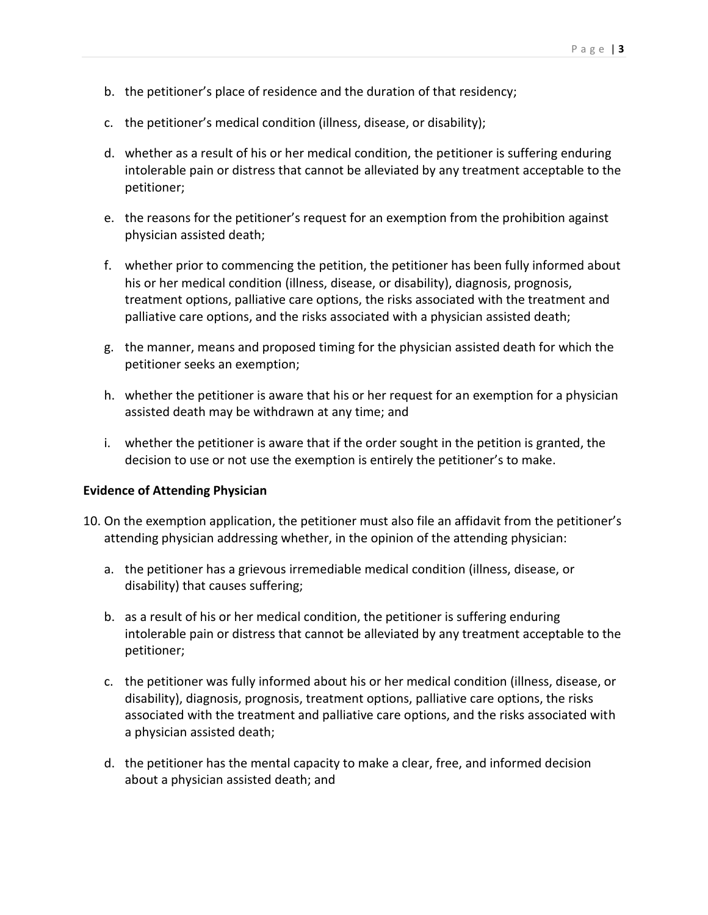- b. the petitioner's place of residence and the duration of that residency;
- c. the petitioner's medical condition (illness, disease, or disability);
- d. whether as a result of his or her medical condition, the petitioner is suffering enduring intolerable pain or distress that cannot be alleviated by any treatment acceptable to the petitioner;
- e. the reasons for the petitioner's request for an exemption from the prohibition against physician assisted death;
- f. whether prior to commencing the petition, the petitioner has been fully informed about his or her medical condition (illness, disease, or disability), diagnosis, prognosis, treatment options, palliative care options, the risks associated with the treatment and palliative care options, and the risks associated with a physician assisted death;
- g. the manner, means and proposed timing for the physician assisted death for which the petitioner seeks an exemption;
- h. whether the petitioner is aware that his or her request for an exemption for a physician assisted death may be withdrawn at any time; and
- i. whether the petitioner is aware that if the order sought in the petition is granted, the decision to use or not use the exemption is entirely the petitioner's to make.

#### **Evidence of Attending Physician**

- 10. On the exemption application, the petitioner must also file an affidavit from the petitioner's attending physician addressing whether, in the opinion of the attending physician:
	- a. the petitioner has a grievous irremediable medical condition (illness, disease, or disability) that causes suffering;
	- b. as a result of his or her medical condition, the petitioner is suffering enduring intolerable pain or distress that cannot be alleviated by any treatment acceptable to the petitioner;
	- c. the petitioner was fully informed about his or her medical condition (illness, disease, or disability), diagnosis, prognosis, treatment options, palliative care options, the risks associated with the treatment and palliative care options, and the risks associated with a physician assisted death;
	- d. the petitioner has the mental capacity to make a clear, free, and informed decision about a physician assisted death; and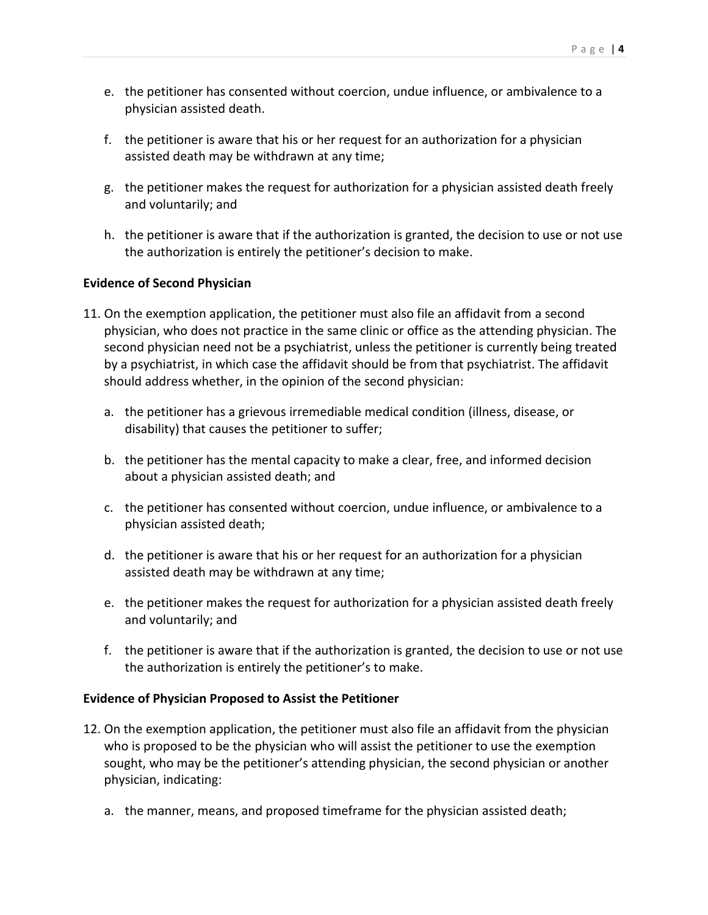- e. the petitioner has consented without coercion, undue influence, or ambivalence to a physician assisted death.
- f. the petitioner is aware that his or her request for an authorization for a physician assisted death may be withdrawn at any time;
- g. the petitioner makes the request for authorization for a physician assisted death freely and voluntarily; and
- h. the petitioner is aware that if the authorization is granted, the decision to use or not use the authorization is entirely the petitioner's decision to make.

### **Evidence of Second Physician**

- 11. On the exemption application, the petitioner must also file an affidavit from a second physician, who does not practice in the same clinic or office as the attending physician. The second physician need not be a psychiatrist, unless the petitioner is currently being treated by a psychiatrist, in which case the affidavit should be from that psychiatrist. The affidavit should address whether, in the opinion of the second physician:
	- a. the petitioner has a grievous irremediable medical condition (illness, disease, or disability) that causes the petitioner to suffer;
	- b. the petitioner has the mental capacity to make a clear, free, and informed decision about a physician assisted death; and
	- c. the petitioner has consented without coercion, undue influence, or ambivalence to a physician assisted death;
	- d. the petitioner is aware that his or her request for an authorization for a physician assisted death may be withdrawn at any time;
	- e. the petitioner makes the request for authorization for a physician assisted death freely and voluntarily; and
	- f. the petitioner is aware that if the authorization is granted, the decision to use or not use the authorization is entirely the petitioner's to make.

### **Evidence of Physician Proposed to Assist the Petitioner**

- 12. On the exemption application, the petitioner must also file an affidavit from the physician who is proposed to be the physician who will assist the petitioner to use the exemption sought, who may be the petitioner's attending physician, the second physician or another physician, indicating:
	- a. the manner, means, and proposed timeframe for the physician assisted death;